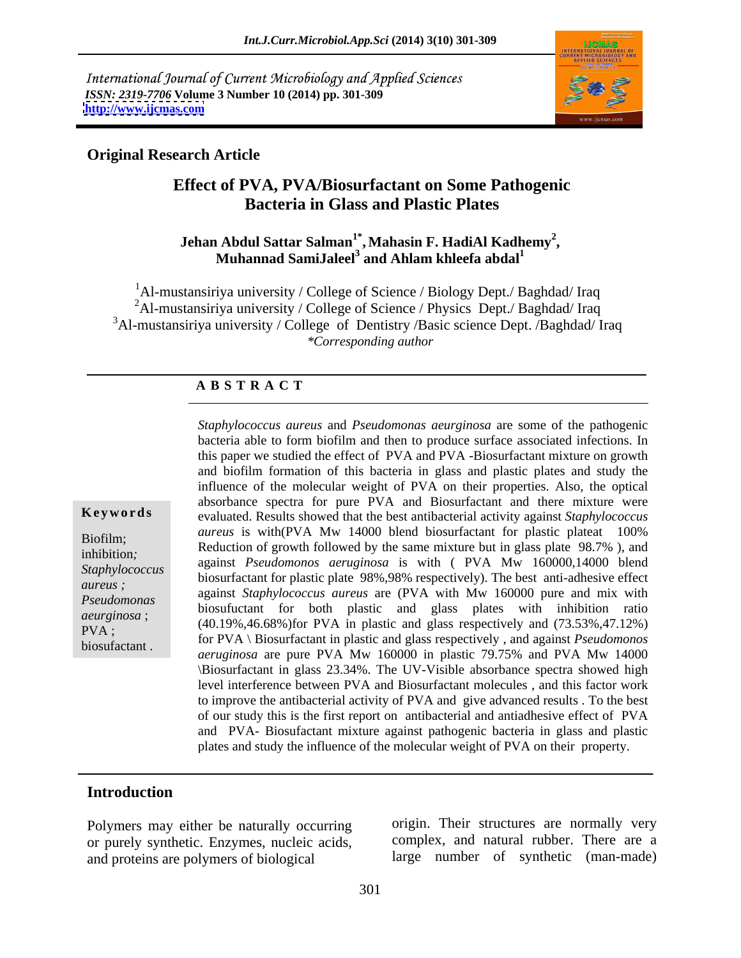International Journal of Current Microbiology and Applied Sciences *ISSN: 2319-7706* **Volume 3 Number 10 (2014) pp. 301-309 <http://www.ijcmas.com>**



#### **Original Research Article**

# **Effect of PVA, PVA/Biosurfactant on Some Pathogenic Bacteria in Glass and Plastic Plates**

#### **Jehan Abdul Sattar Salman1\* , Mahasin F. HadiAl Kadhemy<sup>2</sup> ,**  $\bf{M}$ uhannad  $\bf{SamiJaleel}^3$  and  $\bf{Ahlam}\;{\bf khleefa}\; {\bf abdal}^1$

<sup>1</sup>Al-mustansiriya university / College of Science / Biology Dept./ Baghdad/ Iraq <sup>2</sup>Al-mustansiriya university / College of Science / Physics Dept./ Baghdad/ Iraq <sup>3</sup>Al-mustansiriya university / College of Dentistry /Basic science Dept. /Baghdad/ Iraq *\*Corresponding author*

#### **A B S T R A C T**

**Key words** evaluated. Results showed that the best antibacterial activity against *Staphylococcus* Biofilm;<br>inhibition. Reduction of growth followed by the same mixture but in glass plate 98.7%), and inhibition;<br>
against *Pseudomonos aeruginosa* is with ( PVA Mw 160000,14000 blend *Staphylococcus*  biosurfactant for plastic plate 98%,98% respectively). The best anti-adhesive effect *aureus ;*  against *Staphylococcus aureus* are (PVA with Mw 160000 pure and mix with *Pseudomonas* against *suphylococcus dureus* are (1 VA with MW 100000 put and this with<br>*against suphylococcus* and glass plates with inhibition ratio *aeurginosa* ;  $(40.19\%, 46.68\%)$  for PVA in plastic and glass respectively and  $(73.53\%, 47.12\%)$ PVA ;<br>hiosufactant in plastic and glass respectively and (15.55%, 41.12%)<br>hiosufactant in plastic and glass respectively, and against *Pseudomonos* biosufactant .<br>*aeruginosa* are pure PVA Mw 160000 in plastic 79.75% and PVA Mw 14000 *Staphylococcus aureus* and *Pseudomonas aeurginosa* are some of the pathogenic bacteria able to form biofilm and then to produce surface associated infections. In this paper we studied the effect of PVA and PVA -Biosurfactant mixture on growth and biofilm formation of this bacteria in glass and plastic plates and study the influence of the molecular weight of PVA on their properties. Also, the optical absorbance spectra for pure PVA and Biosurfactant and there mixture were *aureus* is with(PVA Mw 14000 blend biosurfactant for plastic plateat 100% \Biosurfactant in glass 23.34%. The UV-Visible absorbance spectra showed high level interference between PVA and Biosurfactant molecules , and this factor work to improve the antibacterial activity of PVA and give advanced results . To the best of our study this is the first report on antibacterial and antiadhesive effect of PVA and PVA- Biosufactant mixture against pathogenic bacteria in glass and plastic plates and study the influence of the molecular weight of PVA on their property.

#### **Introduction**

Polymers may either be naturally occurring or purely synthetic. Enzymes, nucleic acids, and proteins are polymers of biological

origin. Their structures are normally very complex, and natural rubber. There are a large number of synthetic (man-made)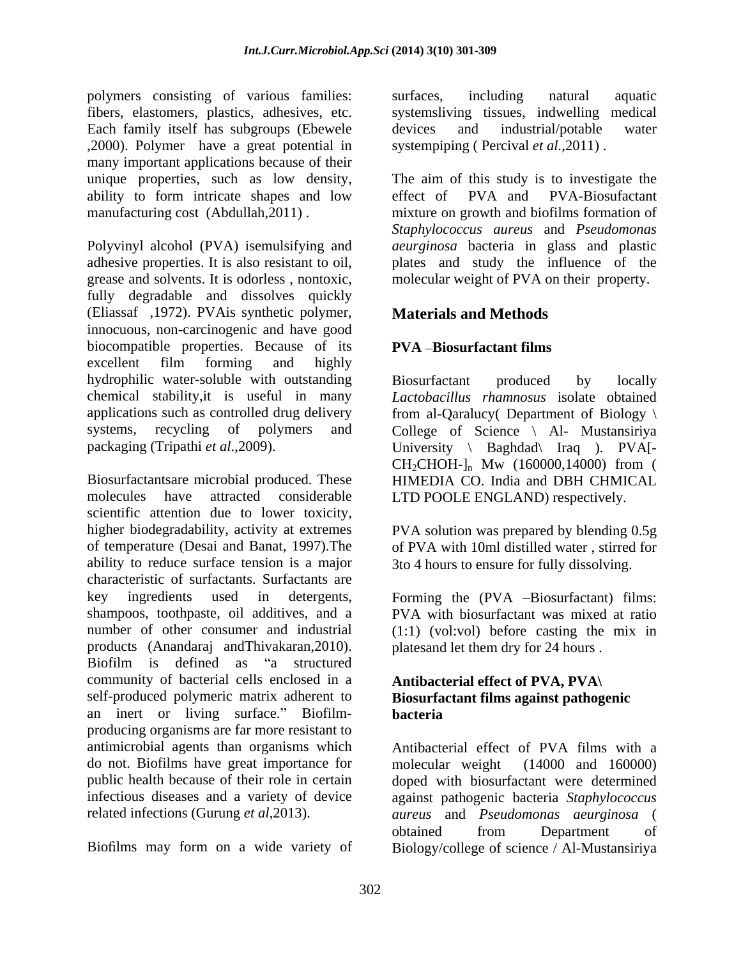polymers consisting of various families: fibers, elastomers, plastics, adhesives, etc. systemsliving tissues, indwelling medical Each family itself has subgroups (Ebewele devices and industrial/potable water ,2000). Polymer have a great potential in many important applications because of their ability to form intricate shapes and low effect of PVA and PVA-Biosufactant

Polyvinyl alcohol (PVA) isemulsifying and *aeurginosa* bacteria in glass and plastic adhesive properties. It is also resistant to oil, plates and study the influence of the grease and solvents. It is odorless , nontoxic, molecular weight of PVA on their property. fully degradable and dissolves quickly (Eliassaf ,1972). PVAis synthetic polymer, innocuous, non-carcinogenic and have good biocompatible properties. Because of its excellent film forming and highly hydrophilic water-soluble with outstanding Biosurfactant produced by locally chemical stability,it is useful in many applications such as controlled drug delivery from al-Qaralucy( Department of Biology \ systems, recycling of polymers and College of Science \ Al- Mustansiriya

Biosurfactantsare microbial produced. These HIMEDIA CO. India and DBH CHMICAL molecules have attracted considerable LTD POOLE ENGLAND) respectively. scientific attention due to lower toxicity,<br>higher biodegradability, activity at extremes PVA solution was prepared by blending 0.5g of temperature (Desai and Banat,1997).The of PVA with 10ml distilled water , stirred for ability to reduce surface tension is a major characteristic of surfactants. Surfactants are key ingredients used in detergents, Forming the (PVA Biosurfactant) films: shampoos, toothpaste, oil additives, and a number of other consumer and industrial (1:1) (vol:vol) before casting the mix in products (Anandaraj andThivakaran,2010). platesand let them dry for 24 hours.<br>Biofilm is defined as "a structured community of bacterial cells enclosed in a self-produced polymeric matrix adherent to **Biosurfactant films against pathogenic**  an inert or living surface." Biofilm- **bacteria** producing organisms are far more resistant to antimicrobial agents than organisms which Antibacterial effect of PVA films with a do not. Biofilms have great importance for molecular weight (14000 and 160000) public health because of their role in certain doned with biosurfactant were determined public health because of their role in certain doped with biosurfactant were determined infectious diseases and a variety of device against pathogenic bacteria *Staphylococcus* 

surfaces, including natural aquatic systemsliving tissues, indwelling devices and industrial/potable water systempiping ( Percival *et al.*,2011) .

unique properties, such as low density, The aim of this study is to investigate the manufacturing cost (Abdullah,2011) . mixture on growth and biofilms formation of effect of PVA and PVA-Biosufactant *Staphylococcus aureus* and *Pseudomonas* 

## **Materials and Methods**

### **PVA** -Biosurfactant films

packaging (Tripathi *et al.*,2009). University \ Baghdad\ Iraq ). PVA[-Biosurfactant produced by locally *Lactobacillus rhamnosus* isolate obtained  $CH_2CHOH-I_n$  Mw (160000,14000) from (

> PVA solution was prepared by blending 0.5g 3to 4 hours to ensure for fully dissolving.

> PVA with biosurfactant was mixed at ratio platesand let them dry for 24 hours .

# **Antibacterial effect of PVA, PVA\ bacteria**

related infections (Gurung *et al*,2013). *aureus* and *Pseudomonas aeurginosa* ( Biofilms may form on a wide variety of Biology/college of science / Al-Mustansiriya molecular weight (14000 and 160000) obtained from Department of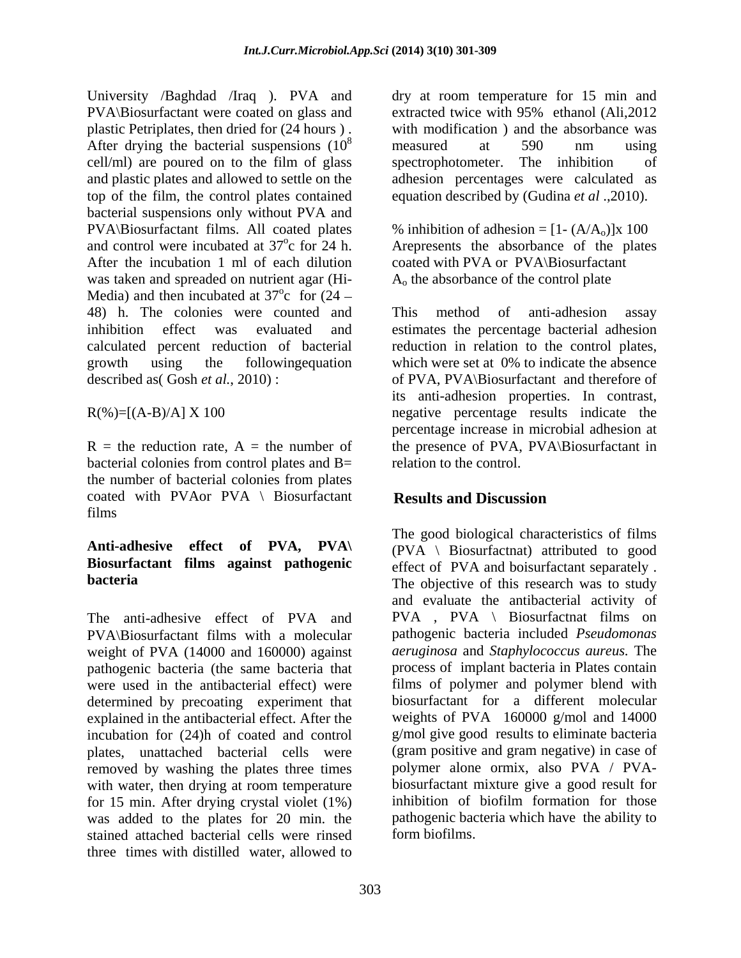University /Baghdad /Iraq ). PVA and PVA\Biosurfactant were coated on glass and plastic Petriplates, then dried for (24 hours ) . After drying the bacterial suspensions  $(10^8$  measured at 590 nm using cell/ml) are poured on to the film of glass spectrophotometer. The inhibition of top of the film, the control plates contained equation described by (Gudina *et al* .,2010). bacterial suspensions only without PVA and  $PVA\cdot B\text{iosurfactant films. All coated plates}$  % inhibition of adhesion =  $[1-(A/A_0)]x 100$ and control were incubated at  $37^{\circ}$ c for 24 h. Arepresents the absorbance of the plates After the incubation 1 ml of each dilution coated with PVA or PVA\Biosurfactant was taken and spreaded on nutrient agar (Hi- Media) and then incubated at  $37^{\circ}$ c for  $(24 \int_{0}^{0}$  for  $(24)$ c for  $(24 -$ 48) h. The colonies were counted and

bacterial colonies from control plates and B= the number of bacterial colonies from plates coated with PVA or  $PVA \setminus Biosurface$  Results and Discussion films

# **Anti-adhesive effect of PVA, PVA\ Biosurfactant films against pathogenic**

PVA\Biosurfactant films with a molecular weight of PVA (14000 and 160000) against pathogenic bacteria (the same bacteria that determined by precoating experiment that explained in the antibacterial effect. After the incubation for (24)h of coated and control removed by washing the plates three times with water, then drying at room temperature for 15 min. After drying crystal violet (1%) was added to the plates for 20 min. the stained attached bacterial cells were rinsed three times with distilled water, allowed to

 $\frac{8}{1000}$  moogured at  $500$  nm using and plastic plates and allowed to settle on the adhesion percentages were calculated as dry at room temperature for 15 min and extracted twice with 95% ethanol (Ali,2012 with modification ) and the absorbance was measured at 590 nm using spectrophotometer. The inhibition of

Ao the absorbance of the control plate

inhibition effect was evaluated and estimates the percentage bacterial adhesion calculated percent reduction of bacterial reduction in relation to the control plates, growth using the followingequation which were set at 0% to indicate the absence described as (Gosh *et al.*, 2010): of PVA, PVA\Biosurfactant and therefore of  $R(\%)=[(A-B)/A] \times 100$  negative percentage results indicate the  $R =$  the reduction rate,  $A =$  the number of the presence of PVA, PVA\Biosurfactant in This method of anti-adhesion assay its anti-adhesion properties. In contrast, negative percentage results indicate the percentage increase in microbial adhesion at relation to the control.

# **Results and Discussion**

**bacteria** The objective of this research was to study The anti-adhesive effect of PVA and PVA, PVA Biosurfactnat films on were used in the antibacterial effect) were films of polymer and polymer blend with plates, unattached bacterial cells were (gram positive and gram negative) in caseof The good biological characteristics of films (PVA \ Biosurfactnat) attributed to good effect of PVA and boisurfactant separately . and evaluate the antibacterial activity of pathogenic bacteria included *Pseudomonas aeruginosa* and *Staphylococcus aureus.* The process of implant bacteria in Plates contain biosurfactant for a different molecular weights of PVA 160000 g/mol and 14000 g/mol give good results to eliminate bacteria polymer alone ormix, also PVA / PVA biosurfactant mixture give a good result for inhibition of biofilm formation for those pathogenic bacteria which have the ability to form biofilms.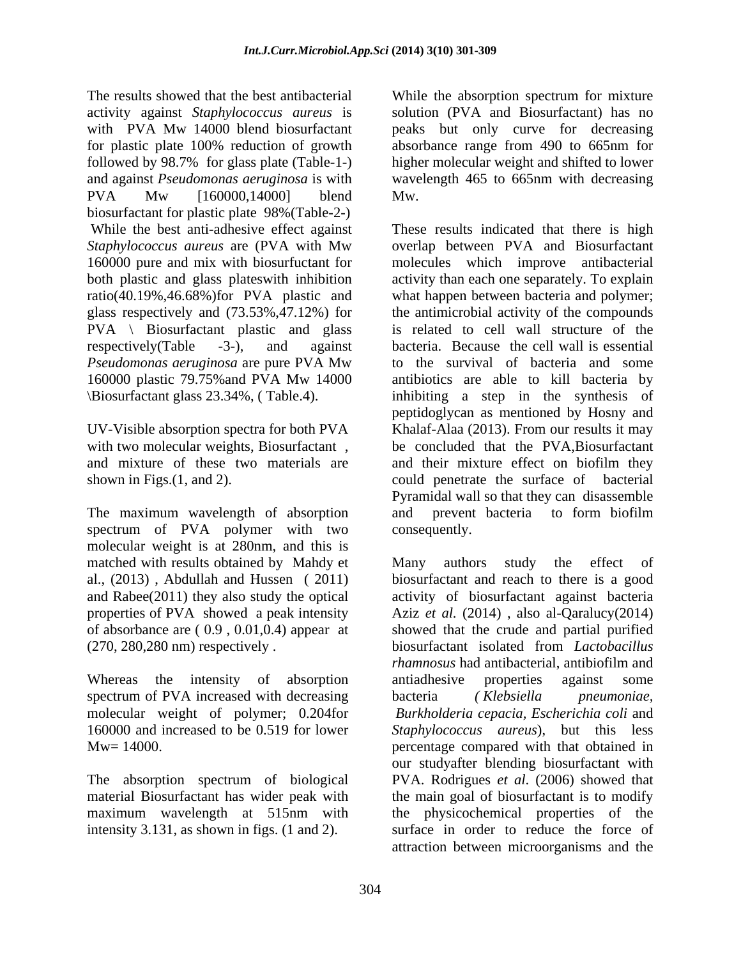The results showed that the best antibacterial While the absorption spectrum for mixture activity against *Staphylococcus aureus* is with PVA Mw 14000 blend biosurfactant peaks but only curve for decreasing for plastic plate 100% reduction of growth followed by 98.7% for glass plate (Table-1-) and against *Pseudomonas aeruginosa* is with PVA Mw [160000,14000] blend Mw. biosurfactant for plastic plate 98%(Table-2-) *Staphylococcus aureus* are (PVA with Mw 160000 pure and mix with biosurfuctant for both plastic and glass plateswith inhibition ratio(40.19%,46.68%)for PVA plastic and glass respectively and (73.53%,47.12%) for PVA \ Biosurfactant plastic and glass *Pseudomonas aeruginosa* are pure PVA Mw 160000 plastic 79.75%and PVA Mw 14000

The maximum wavelength of absorption and prevent bacteria to form biofilm spectrum of PVA polymer with two molecular weight is at 280nm, and this is matched with results obtained by Mahdy et Many authors study the effect of of absorbance are ( 0.9 , 0.01,0.4) appear at

Whereas the intensity of absorption antiadhesive properties against some spectrum of PVA increased with decreasing bacteria (Klebsiella pneumoniae,

The absorption spectrum of biological

solution (PVA and Biosurfactant) has no absorbance range from 490 to 665nm for higher molecular weight and shifted to lower wavelength 465 to 665nm with decreasing Mw.

While the best anti-adhesive effect against These results indicated that there is high respectively(Table -3-), and against bacteria. Because the cell wall is essential \Biosurfactant glass 23.34%, ( Table.4). inhibiting a step in the synthesis of UV-Visible absorption spectra for both PVA Khalaf-Alaa (2013). From our results it may with two molecular weights, Biosurfactant, be concluded that the PVA, Biosurfactant and mixture of these two materials are and their mixture effect on biofilm they shown in Figs.(1, and 2). could penetrate the surface of bacterial overlap between PVA and Biosurfactant molecules which improve antibacterial activity than each one separately. To explain what happen between bacteria and polymer; the antimicrobial activity of the compounds is related to cell wall structure of the to the survival of bacteria and some antibiotics are able to kill bacteria by peptidoglycan as mentioned by Hosny and Pyramidal wall so that they can disassemble and prevent bacteria to form biofilm consequently.

al., (2013) , Abdullah and Hussen ( 2011) biosurfactant and reach to there is a good and Rabee(2011) they also study the optical activity of biosurfactant against bacteria properties of PVA showed a peak intensity Aziz *et al.* (2014) , also al-Qaralucy(2014) (270, 280,280 nm) respectively . biosurfactant isolated from *Lactobacillus*  molecular weight of polymer; 0.204for *Burkholderia cepacia, Escherichia coli* and 160000 and increased to be 0.519 for lower *Staphylococcus aureus*), but this less Mw= 14000. percentage compared with that obtained in material Biosurfactant has wider peak with the main goal of biosurfactant is to modify maximum wavelength at 515nm with intensity 3.131, as shown in figs. (1 and 2). surface in order to reduce the force of Many authors study the effect of showed that the crude and partial purified *rhamnosus* had antibacterial, antibiofilm and antiadhesive properties against some bacteria *( Klebsiella pneumoniae,*  our studyafter blending biosurfactant with PVA. Rodrigues *et al*. (2006) showed that the physicochemical properties of the attraction between microorganisms and the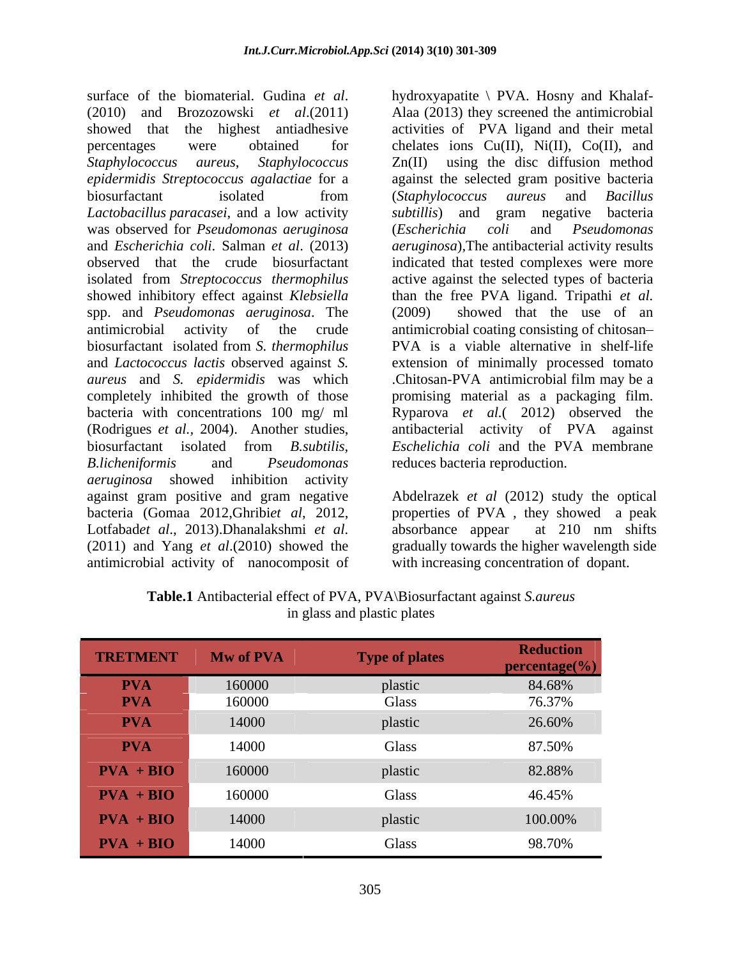surface of the biomaterial. Gudina *et al.* hydroxyapatite \ PVA. Hosny and Khalaf-<br>(2010) and Brozozowski *et al*.(2011) Alaa (2013) they screened the antimicrobial showed that the highest antiadhesive activities of PVA ligand and their metal percentages were obtained for chelates ions Cu(II), Ni(II), Co(II), and *Staphylococcus aureus*, *Staphylococcus*  Zn(II) using the disc diffusion method *epidermidis Streptococcus agalactiae* for a against the selected gram positive bacteria biosurfactant isolated from (Staphylococcus aureus and Bacillus *Lactobacillus paracasei*, and a low activity *subtillis*) and gram negative bacteria was observed for *Pseudomonas aeruginosa* and *Escherichia coli*. Salman *et al*. (2013) *aeruginosa*),The antibacterial activity results observed that the crude biosurfactant indicated that tested complexes were more isolated from *Streptococcus thermophilus* showed inhibitory effect against *Klebsiella* than the free PVA ligand. Tripathi et al. spp. and *Pseudomonas aeruginosa*. The antimicrobial activity of the crude antimicrobial coating consisting of chitosan biosurfactant isolated from *S. thermophilus* PVA is a viable alternative in shelf-life and *Lactococcus lactis* observed against *S.*  extension of minimally processed tomato *aureus* and *S. epidermidis* was which .Chitosan-PVA antimicrobial film may be a completely inhibited the growth of those promising material as a packaging film. bacteria with concentrations 100 mg/ ml Ryparova *et al.*( 2012) observed the (Rodrigues *et al.,* 2004). Another studies, antibacterial activity of PVA against biosurfactant isolated from *B.subtilis, Eschelichia coli* and the PVA membrane *B.licheniformis* and *Pseudomonas*  reduces bacteria reproduction. *aeruginosa* showed inhibition activity against gram positive and gram negative Abdelrazek *et al* (2012) study the optical bacteria (Gomaa 2012,Ghribi*et al*, 2012, properties of PVA , they showed a peak Lotfabad*et al*., 2013).Dhanalakshmi *et al*. (2011) and Yang *et al*.(2010) showed the gradually towards the higher wavelength side antimicrobial activity of nanocomposit of

hydroxyapatite \ PVA. Hosny and Khalaf- Alaa (2013) they screened the antimicrobial (*Staphylococcus aureus* and *Bacillus*  (*Escherichia coli* and *Pseudomonas* active against the selected types of bacteria than the free PVA ligand. Tripathi *et al.* (2009) showed that the use of an

absorbance appear at 210 nm shifts with increasing concentration of dopant.

| <b>TRETMENT</b> | <b>Mw of PVA</b> | <b>Type of plates</b> | $\fbox{\textbf{Reduction}}\\ \textbf{percentage}(\%)$ |
|-----------------|------------------|-----------------------|-------------------------------------------------------|
| <b>PVA</b>      | 160000           | plastic               | 84.68%                                                |
| <b>PVA</b>      | 160000           | Glass                 | 76.37%                                                |
| <b>PVA</b>      | 14000            | plastic               | 26.60%                                                |
| <b>PVA</b>      | 14000            | Glass                 | 87.50%                                                |
| $PVA + BIO$     | 160000           | plastic               | 82.88%                                                |
| $PVA + BIO$     | 160000           | Glass                 | 46.45%                                                |
| $PVA + BIO$     | 14000            | plastic               | 100.00%                                               |
| $PVA + BIO$     | 14000            | Glass                 | 98.70%                                                |

| Table.1<br>Antibacterial effect of PVA, PVA\Biosurfactant against S. aureus |  |
|-----------------------------------------------------------------------------|--|
| glass and plastic plates                                                    |  |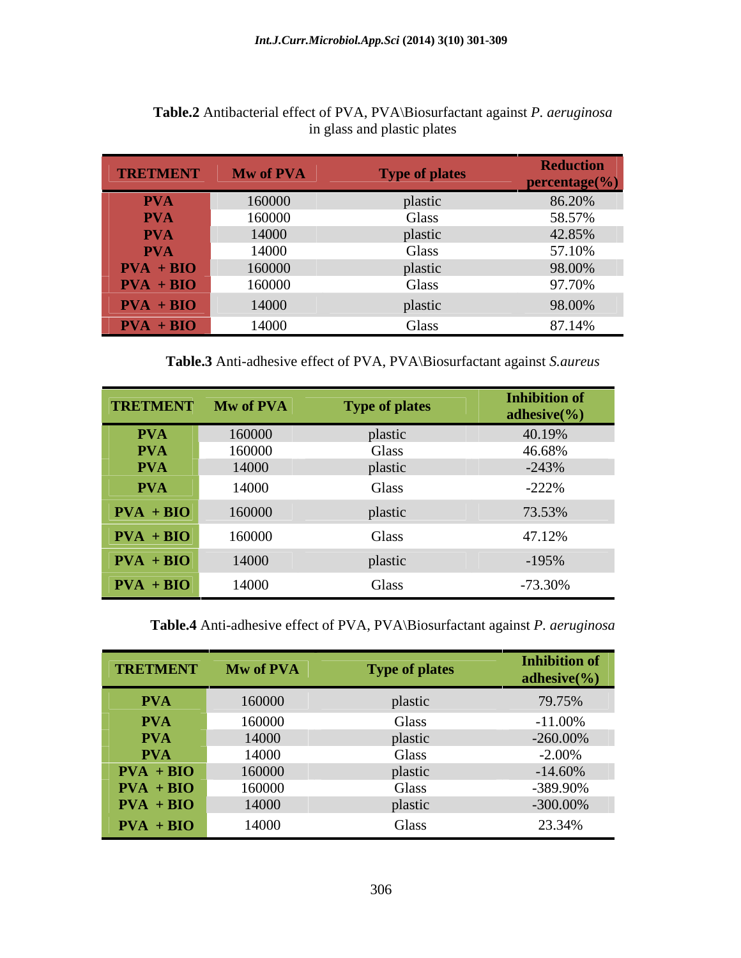| TRETMENT                                                                            | Mw of PVA | <b>Type of plates</b> | <b>Reduction</b><br>$\epsilon$ ercentage $\mathcal{C}_0$ |
|-------------------------------------------------------------------------------------|-----------|-----------------------|----------------------------------------------------------|
| <b>PVA</b>                                                                          | 160000    |                       | 86.20%                                                   |
| <b>PVA</b>                                                                          | 160000    | Glass                 | 58.57%<br>42.85%                                         |
| <b>PVA</b>                                                                          | 14000     | plastic               |                                                          |
| <b>PVA</b>                                                                          | 14000     | Glass                 | 57.10%                                                   |
|                                                                                     | 160000    | plastic               | 98.00%<br>97.70%                                         |
| $\begin{array}{r}\n\text{PVA} + \text{BIO} \\ \text{PVA} + \text{BIO}\n\end{array}$ | 160000    | Glass                 |                                                          |
| $PVA + BIO$                                                                         | 14000     | plastic               | 98.00%                                                   |
| $PVA + BIO$                                                                         | 14000     | Glass                 | 87.14%                                                   |

### **Table.2** Antibacterial effect of PVA, PVA\Biosurfactant against *P. aeruginosa*  in glass and plastic plates

**Table.3** Anti-adhesive effect of PVA, PVA\Biosurfactant against *S.aureus*

| TRETMENT Mw of PVA |        | <b>Type of plates</b> | <b>Inhibition of</b><br>adhesive $\left(\frac{9}{0}\right)$ |
|--------------------|--------|-----------------------|-------------------------------------------------------------|
| <b>PVA</b>         | 160000 | plastic               | 40.19%                                                      |
| <b>PVA</b>         | 160000 | Glass                 | 46.68%                                                      |
| <b>PVA</b>         | 14000  | plastic               | $-243%$                                                     |
| <b>PVA</b>         | 14000  | Glass                 | $-222%$                                                     |
| $PVA + BIO$        | 160000 | plastic               | 73.53%                                                      |
| $PVA + BIO$        | 160000 | Glass                 | 47.12%                                                      |
| $PVA + BIO$        | 14000  | plastic               | $-195%$                                                     |
| $PVA + BIO$        | 14000  | Glass                 | $-73.30%$                                                   |

**Table.4** Anti-adhesive effect of PVA, PVA\Biosurfactant against *P. aeruginosa*

| <b>TRETMENT</b> | Mw of PVA | <b>Type of plates</b> | <b>Inhibition of</b><br>$l$ chesive $\left(\frac{9}{6}\right)$ |
|-----------------|-----------|-----------------------|----------------------------------------------------------------|
| <b>PVA</b>      | 160000    |                       | 79.75%                                                         |
| <b>PVA</b>      | 160000    | Glass                 | $-11.00\%$                                                     |
| <b>PVA</b>      | 14000     | plastic               | $-260.00\%$                                                    |
| <b>PVA</b>      | 14000     | Glass                 | $-2.00\%$                                                      |
| $PVA + BIO$     | 160000    | plastic               | $-14.60\%$                                                     |
| $PVA + BIO$     | 160000    | Glass                 | -389.90%                                                       |
| $PVA + BIO$     | 14000     | plastic               | $-300.00\%$                                                    |
| $PVA + BIO$     | 14000     | Glass                 | 23.34%                                                         |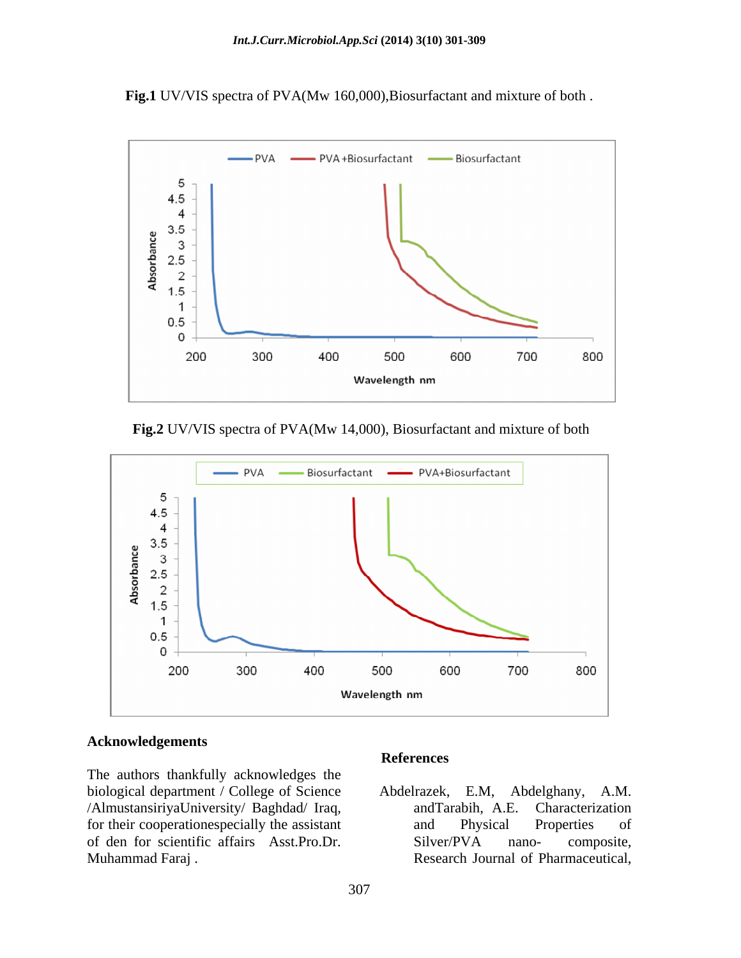**Fig.1** UV/VIS spectra of PVA(Mw 160,000),Biosurfactant and mixture of both .



**Fig.2** UV/VIS spectra of PVA(Mw 14,000), Biosurfactant and mixture of both



#### **Acknowledgements**

The authors thankfully acknowledges the biological department / College of Science Abdelrazek, E.M, Abdelghany, A.M. /AlmustansiriyaUniversity/ Baghdad/ Iraq, for their cooperationespecially the assistant and Physical Properties of of den for scientific affairs Asst.Pro.Dr. Muhammad Faraj . Research Journal of Pharmaceutical,

#### **References**

Abdelrazek, E.M. andTarabih, A.E. Characterization and Physical Properties of Silver/PVA nano- composite,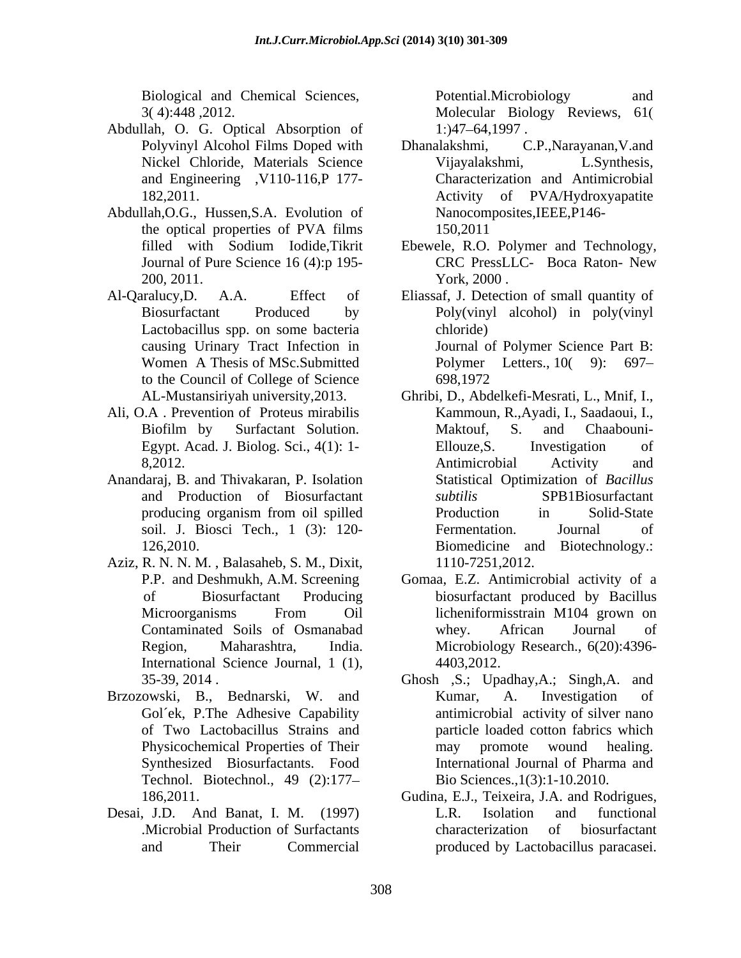Biological and Chemical Sciences,

- Abdullah, O. G. Optical Absorption of 1:147-64,1997.
- Abdullah,O.G., Hussen,S.A. Evolution of the optical properties of PVA films
- Al-Qaralucy,D. A.A. Effect of Eliassaf, J. Detection of small quantity of Lactobacillus spp. on some bacteria to the Council of College of Science 698,1972
- 
- Anandaraj, B. and Thivakaran, P. Isolation
- Aziz, R. N. N. M. , Balasaheb, S. M., Dixit,
- Brzozowski, B., Bednarski, W. and Synthesized Biosurfactants. Food Technol. Biotechnol., 49 (2):177
- Desai, J.D. And Banat, I. M. (1997)

3( 4):448 ,2012. Molecular Biology Reviews, 61 Potential.Microbiology and  $1$ :)47–64,1997.

- Polyvinyl Alcohol Films Doped with Dhanalakshmi, C.P., Narayanan, V.and Nickel Chloride, Materials Science Vijayalakshmi, L.Synthesis, and Engineering ,V110-116,P 177- Characterization and Antimicrobial 182,2011. Activity of PVA/Hydroxyapatite Dhanalakshmi, C.P.,Narayanan,V.and Vijayalakshmi, L.Synthesis, Nanocomposites,IEEE,P146- 150,2011
- filled with Sodium Iodide,Tikrit Ebewele, R.O. Polymer and Technology, Journal of Pure Science 16 (4):p 195-<br>
CRC PressLLC- Boca Raton- New 200, 2011. York, 2000. CRC PressLLC- Boca Raton- New York, 2000 .
- Biosurfactant Produced by Poly(vinyl alcohol) in poly(vinyl causing Urinary Tract Infection in Journal of Polymer Science PartB: Women A Thesis of MSc.Submitted Polymer Letters., 10(9): 697– chloride) 698,1972
- AL-Mustansiriyah university,2013. Ghribi, D., Abdelkefi-Mesrati, L., Mnif, I., Ali, O.A . Prevention of Proteus mirabilis Kammoun, R.,Ayadi, I., Saadaoui, I., Biofilm by Surfactant Solution. Egypt. Acad. J. Biolog. Sci., 4(1): 1-<br>
Ellouze, S. Investigation of 8,2012. Antimicrobial Activity and and Production of Biosurfactant producing organism from oil spilled soil. J. Biosci Tech., 1 (3): 120- 126,2010. Biomedicine and Biotechnology.: Maktouf, S. and Chaabouni- Ellouze,S. Investigation of Antimicrobial Activity and Statistical Optimization of *Bacillus subtilis* SPB1Biosurfactant Production in Solid-State Fermentation. Journal of 1110-7251,2012.
	- P.P. and Deshmukh, A.M. Screening Gomaa, E.Z. Antimicrobial activity of a of Biosurfactant Producing biosurfactant produced by Bacillus Microorganisms From Oil licheniformisstrain M104 grown on Contaminated Soils of Osmanabad Region, Maharashtra, India. Microbiology-Research., 6(20):4396-<br>International Science Journal, 1 (1), 4403,2012. licheniformisstrain M104 grown on whey. African Journal of Microbiology Research., 6(20):4396- 4403,2012.
	- 35-39, 2014 . Ghosh ,S.; Upadhay,A.; Singh,A. and Gol'ek, P.The Adhesive Capability antimicrobial activity of silver nano of Two Lactobacillus Strains and particle loaded cotton fabrics which Physicochemical Properties of Their may promote wound healing. Kumar, A. Investigation of may promote wound healing. International Journal of Pharma and Bio Sciences.,1(3):1-10.2010.
	- 186,2011. Gudina, E.J., Teixeira, J.A. and Rodrigues, .Microbial Production of Surfactants and Their Commercial produced by Lactobacillus paracasei.L.R. Isolation and functional characterization of biosurfactant